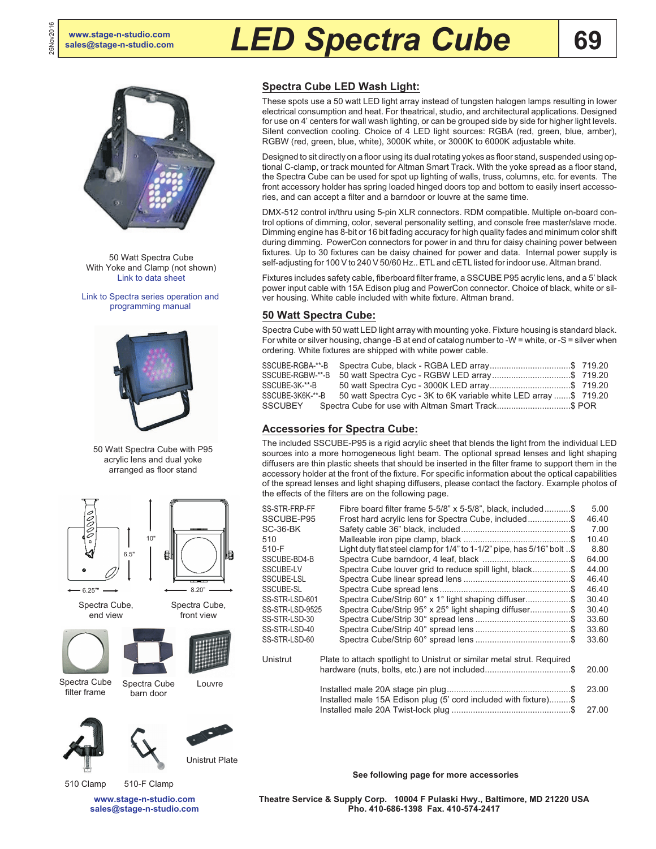26Nov2016

# **[sales@stage-n-studio.com](mailto:sales@stage-n-studio.com)** *LED Spectra Cube*



50 Watt Spectra Cube With Yoke and Clamp (not shown) [Link to data sheet](http://altmanlighting.com/wp-content/uploads/2016/04/SpectraCube.pdf)

[Link to Spectra series operation and](http://altmanlighting.com/wp-content/uploads/2016/04/AltmanSpectraSeriesProgrammingManual.pdf) [programming manual](http://altmanlighting.com/wp-content/uploads/2016/04/AltmanSpectraSeriesProgrammingManual.pdf)



50 Watt Spectra Cube with P95 acrylic lens and dual yoke arranged as floor stand











Spectra Cube filter frame

Spectra Cube barn door Louvre







510 Clamp 510-F Clamp

**[www.stage-n-studio.com](http://www.stage-n-studio.com) [sales@stage-n-studio.com](mailto:sales@stage-n-studio.com)**

### **Spectra Cube LED Wash Light:**

These spots use a 50 watt LED light array instead of tungsten halogen lamps resulting in lower electrical consumption and heat. For theatrical, studio, and architectural applications. Designed for use on 4' centers for wall wash lighting, or can be grouped side by side for higher light levels. Silent convection cooling. Choice of 4 LED light sources: RGBA (red, green, blue, amber), RGBW (red, green, blue, white), 3000K white, or 3000K to 6000K adjustable white.

Designed to sit directly on a floor using its dual rotating yokes as floor stand, suspended using optional C-clamp, or track mounted for Altman Smart Track. With the yoke spread as a floor stand, the Spectra Cube can be used for spot up lighting of walls, truss, columns, etc. for events. The front accessory holder has spring loaded hinged doors top and bottom to easily insert accessories, and can accept a filter and a barndoor or louvre at the same time.

DMX-512 control in/thru using 5-pin XLR connectors. RDM compatible. Multiple on-board control options of dimming, color, several personality setting, and console free master/slave mode. Dimming engine has 8-bit or 16 bit fading accuracy for high quality fades and minimum color shift during dimming. PowerCon connectors for power in and thru for daisy chaining power between fixtures. Up to 30 fixtures can be daisy chained for power and data. Internal power supply is self-adjusting for 100 V to 240 V 50/60 Hz.. ETL and cETL listed for indoor use. Altman brand.

Fixtures includes safety cable, fiberboard filter frame, a SSCUBE P95 acrylic lens, and a 5' black power input cable with 15A Edison plug and PowerCon connector. Choice of black, white or silver housing. White cable included with white fixture. Altman brand.

#### **50 Watt Spectra Cube:**

Spectra Cube with 50 watt LED light array with mounting yoke. Fixture housing is standard black. For white or silver housing, change -B at end of catalog number to -W = white, or -S = silver when ordering. White fixtures are shipped with white power cable.

| SSCUBE-RGBA-**-B |                                                                   |  |
|------------------|-------------------------------------------------------------------|--|
| SSCUBE-RGBW-**-B |                                                                   |  |
| SSCUBE-3K-**-B   |                                                                   |  |
| SSCUBE-3K6K-**-B | 50 watt Spectra Cyc - 3K to 6K variable white LED array \$ 719.20 |  |
| SSCUBEY          | Spectra Cube for use with Altman Smart Track\$ POR                |  |

#### **Accessories for Spectra Cube:**

The included SSCUBE-P95 is a rigid acrylic sheet that blends the light from the individual LED sources into a more homogeneous light beam. The optional spread lenses and light shaping diffusers are thin plastic sheets that should be inserted in the filter frame to support them in the accessory holder at the front of the fixture. For specific information about the optical capabilities of the spread lenses and light shaping diffusers, please contact the factory. Example photos of the effects of the filters are on the following page.

| SS-STR-FRP-FF   | Fibre board filter frame 5-5/8" x 5-5/8", black, included\$             | 5.00  |
|-----------------|-------------------------------------------------------------------------|-------|
| SSCUBE-P95      | Frost hard acrylic lens for Spectra Cube, included\$                    | 46.40 |
| SC-36-BK        |                                                                         | 7.00  |
| 510             |                                                                         | 10.40 |
| 510-F           | Light duty flat steel clamp for 1/4" to 1-1/2" pipe, has 5/16" bolt \$  | 8.80  |
| SSCUBE-BD4-B    |                                                                         | 64.00 |
| SSCUBE-LV       | Spectra Cube louver grid to reduce spill light, black\$                 | 44.00 |
| SSCUBE-LSL      |                                                                         | 46.40 |
| SSCUBE-SL       |                                                                         | 46.40 |
| SS-STR-LSD-601  | Spectra Cube/Strip 60° x 1° light shaping diffuser\$                    | 30.40 |
| SS-STR-LSD-9525 | Spectra Cube/Strip 95° x 25° light shaping diffuser\$                   | 30.40 |
| SS-STR-LSD-30   |                                                                         | 33.60 |
| SS-STR-LSD-40   |                                                                         | 33.60 |
| SS-STR-LSD-60   |                                                                         | 33.60 |
| Unistrut        | Plate to attach spotlight to Unistrut or similar metal strut. Required  |       |
|                 | hardware (nuts, bolts, etc.) are not included\$                         | 20.00 |
|                 | .S<br>Installed male 15A Edison plug (5' cord included with fixture) \$ | 23.00 |

**See following page for more accessories**

Installed male 20A Twist-lock plug ..................................................\$ 27.00

**Theatre Service & Supply Corp. 10004 F Pulaski Hwy., Baltimore, MD 21220 USA Pho. 410-686-1398 Fax. 410-574-2417**